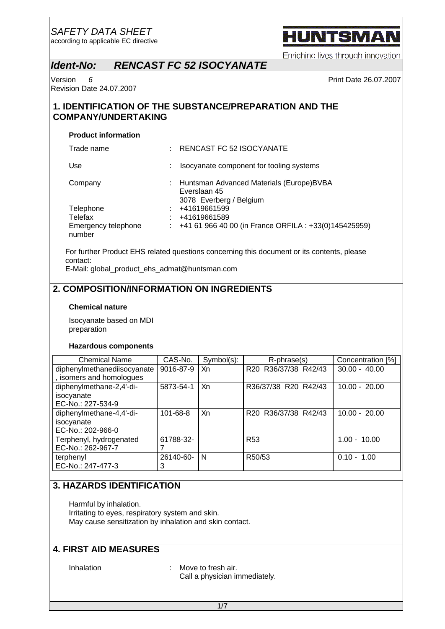according to applicable EC directive

# HUNTSMA

Enriching lives through innovation

## *Ident-No: RENCAST FC 52 ISOCYANATE*

Version *6* Print Date 26.07.2007 Revision Date 24.07.2007

## **1. IDENTIFICATION OF THE SUBSTANCE/PREPARATION AND THE COMPANY/UNDERTAKING**

#### **Product information**

| Trade name                    | RENCAST FC 52 ISOCYANATE                                                            |  |
|-------------------------------|-------------------------------------------------------------------------------------|--|
| Use                           | Isocyanate component for tooling systems                                            |  |
| Company                       | Huntsman Advanced Materials (Europe)BVBA<br>Everslaan 45<br>3078 Everberg / Belgium |  |
| Telephone                     | +41619661599                                                                        |  |
| Telefax                       | +41619661589                                                                        |  |
| Emergency telephone<br>number | $\pm$ +41 61 966 40 00 (in France ORFILA : +33(0)145425959)                         |  |

For further Product EHS related questions concerning this document or its contents, please contact:

E-Mail: global\_product\_ehs\_admat@huntsman.com

## **2. COMPOSITION/INFORMATION ON INGREDIENTS**

#### **Chemical nature**

Isocyanate based on MDI preparation

#### **Hazardous components**

| <b>Chemical Name</b>        | CAS-No.        | Symbol(s): | R-phrase(s)                                                | Concentration [%] |
|-----------------------------|----------------|------------|------------------------------------------------------------|-------------------|
| diphenylmethanediisocyanate | 9016-87-9      | Xn         | R20 R36/37/38 R42/43                                       | $30.00 - 40.00$   |
| , isomers and homologues    |                |            |                                                            |                   |
| diphenylmethane-2,4'-di-    | 5873-54-1      | Xn         | R36/37/38 R20 R42/43                                       | $10.00 - 20.00$   |
| isocyanate                  |                |            |                                                            |                   |
| EC-No.: 227-534-9           |                |            |                                                            |                   |
| diphenylmethane-4,4'-di-    | $101 - 68 - 8$ | Xn         | R <sub>20</sub> R <sub>36</sub> /37/38 R <sub>42</sub> /43 | $10.00 - 20.00$   |
| isocyanate                  |                |            |                                                            |                   |
| EC-No.: 202-966-0           |                |            |                                                            |                   |
| Terphenyl, hydrogenated     | 61788-32-      |            | R <sub>53</sub>                                            | $1.00 - 10.00$    |
| EC-No.: 262-967-7           |                |            |                                                            |                   |
| terphenyl                   | 26140-60-      | N          | R <sub>50</sub> /53                                        | $0.10 - 1.00$     |
| EC-No.: 247-477-3           | 3              |            |                                                            |                   |

#### **3. HAZARDS IDENTIFICATION**

Harmful by inhalation. Irritating to eyes, respiratory system and skin. May cause sensitization by inhalation and skin contact.

### **4. FIRST AID MEASURES**

Inhalation : Move to fresh air. Call a physician immediately.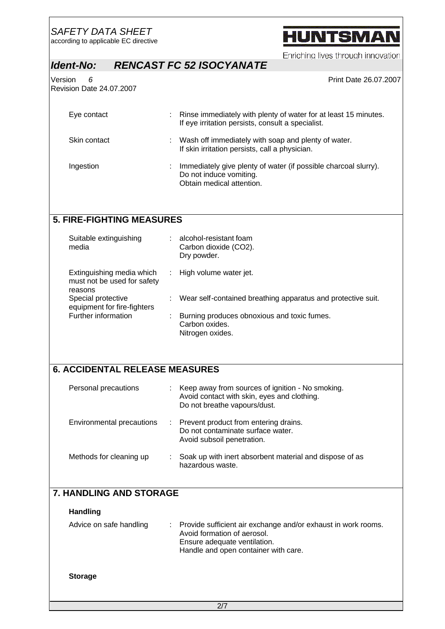according to applicable EC directive

# **HUNTSMAN**

Enriching lives through innovation

## *Ident-No: RENCAST FC 52 ISOCYANATE*

Version *6* Print Date 26.07.2007 Revision Date 24.07.2007

| Eye contact  | Rinse immediately with plenty of water for at least 15 minutes.<br>If eye irritation persists, consult a specialist.    |
|--------------|-------------------------------------------------------------------------------------------------------------------------|
| Skin contact | Wash off immediately with soap and plenty of water.<br>If skin irritation persists, call a physician.                   |
| Ingestion    | Immediately give plenty of water (if possible charcoal slurry).<br>Do not induce vomiting.<br>Obtain medical attention. |

## **5. FIRE-FIGHTING MEASURES**

| Suitable extinguishing<br>media                                     |            | alcohol-resistant foam<br>Carbon dioxide (CO2).<br>Dry powder.                    |
|---------------------------------------------------------------------|------------|-----------------------------------------------------------------------------------|
| Extinguishing media which<br>must not be used for safety<br>reasons | $\sim 100$ | High volume water jet.                                                            |
| Special protective<br>equipment for fire-fighters                   |            | Wear self-contained breathing apparatus and protective suit.                      |
| Further information                                                 |            | Burning produces obnoxious and toxic fumes.<br>Carbon oxides.<br>Nitrogen oxides. |

## **6. ACCIDENTAL RELEASE MEASURES**

| Personal precautions      |               | Keep away from sources of ignition - No smoking.<br>Avoid contact with skin, eyes and clothing.<br>Do not breathe vapours/dust. |
|---------------------------|---------------|---------------------------------------------------------------------------------------------------------------------------------|
| Environmental precautions | $\mathcal{L}$ | Prevent product from entering drains.<br>Do not contaminate surface water.<br>Avoid subsoil penetration.                        |
| Methods for cleaning up   |               | Soak up with inert absorbent material and dispose of as<br>hazardous waste.                                                     |

## **7. HANDLING AND STORAGE**

#### **Handling**

| Ensure adequate ventilation.<br>Handle and open container with care. | Advice on safe handling |  | Provide sufficient air exchange and/or exhaust in work rooms.<br>Avoid formation of aerosol. |
|----------------------------------------------------------------------|-------------------------|--|----------------------------------------------------------------------------------------------|
|----------------------------------------------------------------------|-------------------------|--|----------------------------------------------------------------------------------------------|

#### **Storage**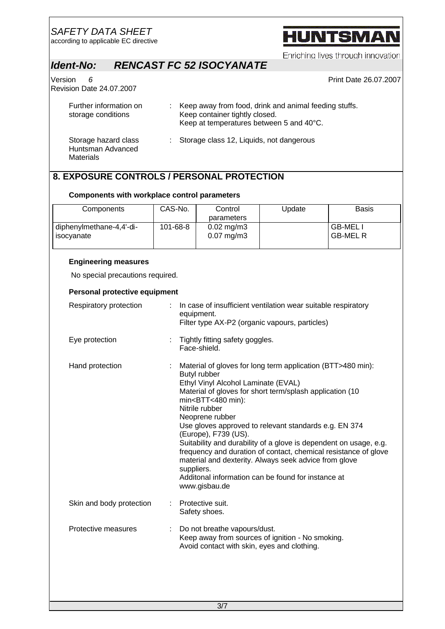according to applicable EC directive

# **HUNTSMAN**

Enriching lives through innovation

## *Ident-No: RENCAST FC 52 ISOCYANATE*

Version *6* Print Date 26.07.2007 Revision Date 24.07.2007

| Further information on<br>storage conditions           | : Keep away from food, drink and animal feeding stuffs.<br>Keep container tightly closed.<br>Keep at temperatures between 5 and 40°C. |
|--------------------------------------------------------|---------------------------------------------------------------------------------------------------------------------------------------|
| Storage hazard class<br>Huntsman Advanced<br>Materials | : Storage class 12, Liquids, not dangerous                                                                                            |

## **8. EXPOSURE CONTROLS / PERSONAL PROTECTION**

#### **Components with workplace control parameters**

| Components                             | CAS-No.  | Control<br>parameters                              | Update | Basis                                  |
|----------------------------------------|----------|----------------------------------------------------|--------|----------------------------------------|
| diphenylmethane-4,4'-di-<br>isocyanate | 101-68-8 | $0.02 \,\mathrm{mg/m3}$<br>$0.07 \,\mathrm{mg/m3}$ |        | GB-MEL <sub>I</sub><br><b>GB-MEL R</b> |

#### **Engineering measures**

No special precautions required.

#### **Personal protective equipment**

| Respiratory protection   |   | In case of insufficient ventilation wear suitable respiratory<br>equipment.<br>Filter type AX-P2 (organic vapours, particles)                                                                                                                                                                                                                                                                                                                                                                                                                                                                                                     |
|--------------------------|---|-----------------------------------------------------------------------------------------------------------------------------------------------------------------------------------------------------------------------------------------------------------------------------------------------------------------------------------------------------------------------------------------------------------------------------------------------------------------------------------------------------------------------------------------------------------------------------------------------------------------------------------|
| Eye protection           |   | Tightly fitting safety goggles.<br>Face-shield.                                                                                                                                                                                                                                                                                                                                                                                                                                                                                                                                                                                   |
| Hand protection          |   | Material of gloves for long term application (BTT>480 min):<br><b>Butyl rubber</b><br>Ethyl Vinyl Alcohol Laminate (EVAL)<br>Material of gloves for short term/splash application (10<br>$min<$ BTT $<$ 480 min $)$ :<br>Nitrile rubber<br>Neoprene rubber<br>Use gloves approved to relevant standards e.g. EN 374<br>(Europe), F739 (US).<br>Suitability and durability of a glove is dependent on usage, e.g.<br>frequency and duration of contact, chemical resistance of glove<br>material and dexterity. Always seek advice from glove<br>suppliers.<br>Additonal information can be found for instance at<br>www.gisbau.de |
| Skin and body protection |   | Protective suit.<br>Safety shoes.                                                                                                                                                                                                                                                                                                                                                                                                                                                                                                                                                                                                 |
| Protective measures      | ÷ | Do not breathe vapours/dust.<br>Keep away from sources of ignition - No smoking.<br>Avoid contact with skin, eyes and clothing.                                                                                                                                                                                                                                                                                                                                                                                                                                                                                                   |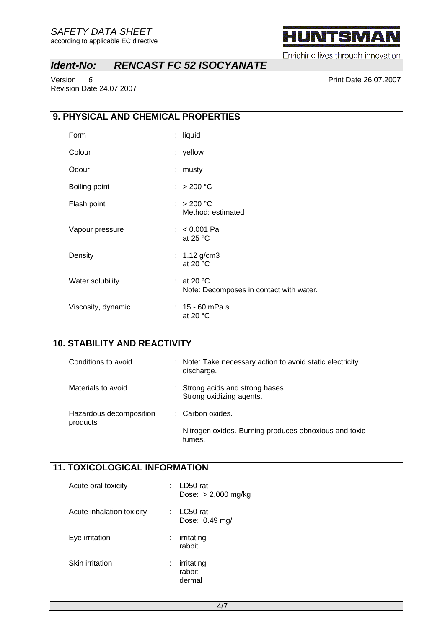according to applicable EC directive

# **HUNTSMAN**

Enriching lives through innovation

## *Ident-No: RENCAST FC 52 ISOCYANATE*

version 6 **Print Date 26.07.2007** Revision Date 24.07.2007

| 9. PHYSICAL AND CHEMICAL PROPERTIES  |                                                                         |
|--------------------------------------|-------------------------------------------------------------------------|
| Form                                 | : liquid                                                                |
| Colour                               | : yellow                                                                |
| Odour                                | : musty                                                                 |
| Boiling point                        | : > 200 °C                                                              |
| Flash point                          | : $> 200 °C$<br>Method: estimated                                       |
| Vapour pressure                      | $: < 0.001$ Pa<br>at 25 °C                                              |
| Density                              | : $1.12$ g/cm3<br>at 20 $\degree$ C                                     |
| Water solubility                     | : at 20 $^{\circ}$ C<br>Note: Decomposes in contact with water.         |
| Viscosity, dynamic                   | : $15 - 60$ mPa.s<br>at 20 $\degree$ C                                  |
| <b>10. STABILITY AND REACTIVITY</b>  |                                                                         |
| Conditions to avoid                  | : Note: Take necessary action to avoid static electricity<br>discharge. |
| Materials to avoid                   | : Strong acids and strong bases.<br>Strong oxidizing agents.            |
| Hazardous decomposition              | : Carbon oxides.                                                        |
| products                             | Nitrogen oxides. Burning produces obnoxious and toxic<br>fumes.         |
| <b>11. TOXICOLOGICAL INFORMATION</b> |                                                                         |
| Acute oral toxicity                  | LD50 rat<br>Dose: $> 2,000$ mg/kg                                       |
| Acute inhalation toxicity            | LC50 rat<br>Dose: 0.49 mg/l                                             |
| Eye irritation                       | irritating<br>rabbit                                                    |
| Skin irritation                      | irritating<br>rabbit<br>dermal                                          |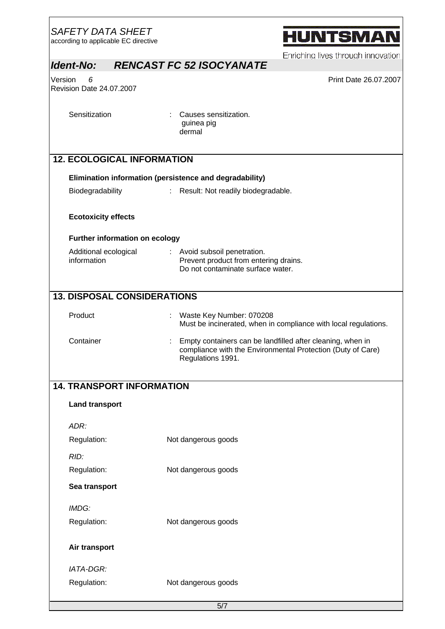| <b>SAFETY DATA SHEET</b><br>according to applicable EC directive | <b>HUNTSMAN</b>                                                                                                                                                                                                                                                                       |
|------------------------------------------------------------------|---------------------------------------------------------------------------------------------------------------------------------------------------------------------------------------------------------------------------------------------------------------------------------------|
|                                                                  | Enriching lives through innovation<br><b>RENCAST FC 52 ISOCYANATE</b>                                                                                                                                                                                                                 |
|                                                                  | Print Date 26.07.2007                                                                                                                                                                                                                                                                 |
| Revision Date 24.07.2007                                         |                                                                                                                                                                                                                                                                                       |
|                                                                  |                                                                                                                                                                                                                                                                                       |
|                                                                  | Causes sensitization.<br>guinea pig<br>dermal                                                                                                                                                                                                                                         |
|                                                                  |                                                                                                                                                                                                                                                                                       |
|                                                                  |                                                                                                                                                                                                                                                                                       |
| Biodegradability                                                 | Result: Not readily biodegradable.                                                                                                                                                                                                                                                    |
|                                                                  |                                                                                                                                                                                                                                                                                       |
| <b>Ecotoxicity effects</b>                                       |                                                                                                                                                                                                                                                                                       |
|                                                                  |                                                                                                                                                                                                                                                                                       |
| Additional ecological<br>information                             | : Avoid subsoil penetration.<br>Prevent product from entering drains.<br>Do not contaminate surface water.                                                                                                                                                                            |
|                                                                  |                                                                                                                                                                                                                                                                                       |
| Product                                                          | Waste Key Number: 070208                                                                                                                                                                                                                                                              |
|                                                                  | Must be incinerated, when in compliance with local regulations.                                                                                                                                                                                                                       |
| Container                                                        | Empty containers can be landfilled after cleaning, when in<br>compliance with the Environmental Protection (Duty of Care)<br>Regulations 1991.                                                                                                                                        |
|                                                                  |                                                                                                                                                                                                                                                                                       |
| <b>Land transport</b>                                            |                                                                                                                                                                                                                                                                                       |
|                                                                  |                                                                                                                                                                                                                                                                                       |
|                                                                  |                                                                                                                                                                                                                                                                                       |
|                                                                  | Not dangerous goods                                                                                                                                                                                                                                                                   |
| Pequiption:                                                      | Not dangerous goods                                                                                                                                                                                                                                                                   |
|                                                                  | Ident-No:<br>Version<br>6<br>Sensitization<br><b>12. ECOLOGICAL INFORMATION</b><br>Elimination information (persistence and degradability)<br>Further information on ecology<br><b>13. DISPOSAL CONSIDERATIONS</b><br><b>14. TRANSPORT INFORMATION</b><br>ADR:<br>Regulation:<br>RID: |

Regulation: Not dangerous goods **Sea transport** *IMDG:* Regulation: Not dangerous goods **Air transport** *IATA-DGR:* Regulation: Not dangerous goods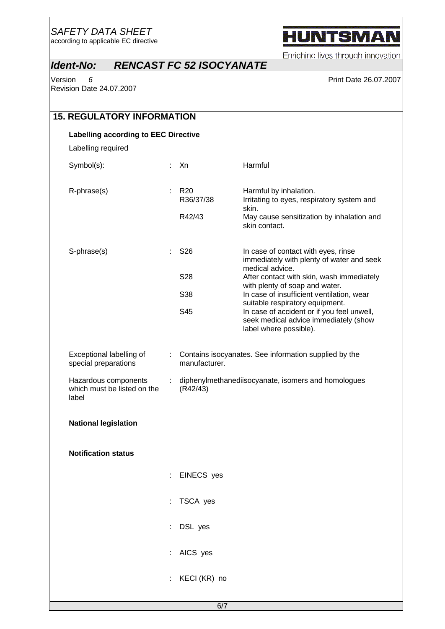according to applicable EC directive

# **HUNTSMAN**

Enriching lives through innovation

## *Ident-No: RENCAST FC 52 ISOCYANATE*

version 6 **Print Date 26.07.2007** Revision Date 24.07.2007

| <b>15. REGULATORY INFORMATION</b>                            |    |                                                                 |                                                                                                                                                  |  |  |
|--------------------------------------------------------------|----|-----------------------------------------------------------------|--------------------------------------------------------------------------------------------------------------------------------------------------|--|--|
| <b>Labelling according to EEC Directive</b>                  |    |                                                                 |                                                                                                                                                  |  |  |
| Labelling required                                           |    |                                                                 |                                                                                                                                                  |  |  |
| Symbol(s):                                                   | t. | Xn                                                              | Harmful                                                                                                                                          |  |  |
| R-phrase(s)                                                  |    | R <sub>20</sub><br>R36/37/38                                    | Harmful by inhalation.<br>Irritating to eyes, respiratory system and<br>skin.                                                                    |  |  |
|                                                              |    | R42/43                                                          | May cause sensitization by inhalation and<br>skin contact.                                                                                       |  |  |
| S-phrase(s)                                                  | t. | S <sub>26</sub>                                                 | In case of contact with eyes, rinse<br>immediately with plenty of water and seek                                                                 |  |  |
|                                                              |    | S28                                                             | medical advice.<br>After contact with skin, wash immediately                                                                                     |  |  |
|                                                              |    | S38                                                             | with plenty of soap and water.<br>In case of insufficient ventilation, wear                                                                      |  |  |
|                                                              |    | S45                                                             | suitable respiratory equipment.<br>In case of accident or if you feel unwell,<br>seek medical advice immediately (show<br>label where possible). |  |  |
| Exceptional labelling of<br>special preparations             | ÷. | manufacturer.                                                   | Contains isocyanates. See information supplied by the                                                                                            |  |  |
| Hazardous components<br>which must be listed on the<br>label |    | diphenylmethanediisocyanate, isomers and homologues<br>(R42/43) |                                                                                                                                                  |  |  |
| <b>National legislation</b>                                  |    |                                                                 |                                                                                                                                                  |  |  |
| <b>Notification status</b>                                   |    |                                                                 |                                                                                                                                                  |  |  |
|                                                              | ÷  | EINECS yes                                                      |                                                                                                                                                  |  |  |
|                                                              |    | TSCA yes                                                        |                                                                                                                                                  |  |  |
|                                                              |    | DSL yes                                                         |                                                                                                                                                  |  |  |
|                                                              |    | : AICS yes                                                      |                                                                                                                                                  |  |  |
|                                                              |    | KECI (KR) no                                                    |                                                                                                                                                  |  |  |
|                                                              |    |                                                                 |                                                                                                                                                  |  |  |